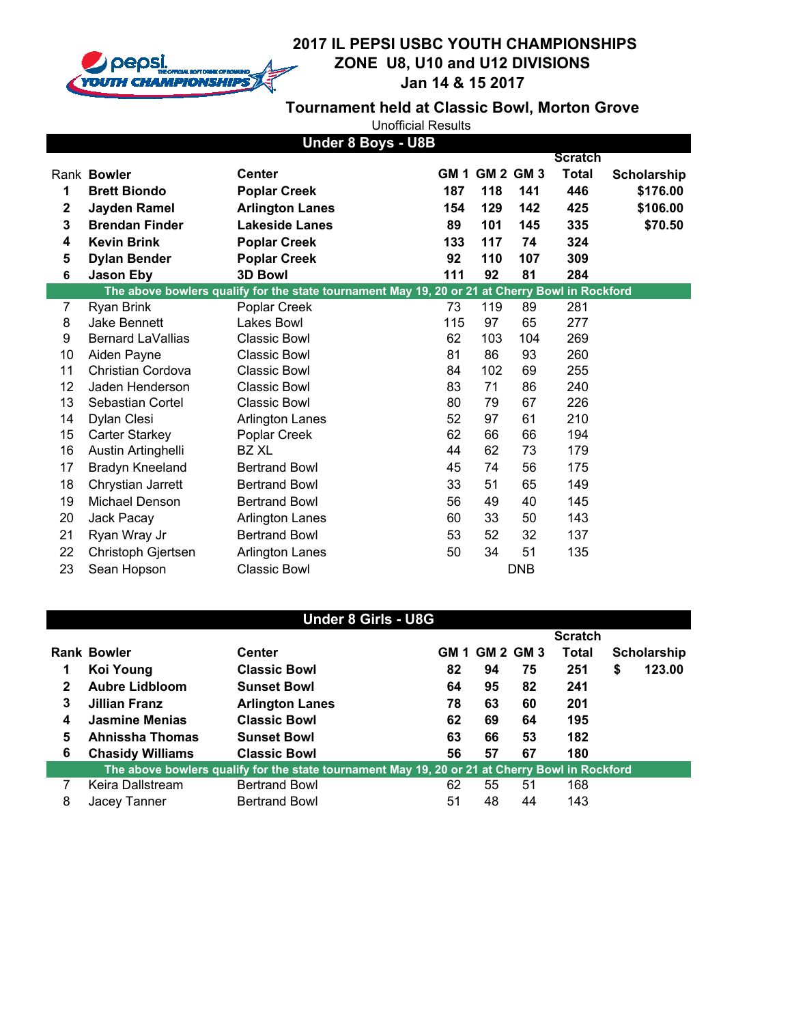

## **2017 IL PEPSI USBC YOUTH CHAMPIONSHIPS ZONE U8, U10 and U12 DIVISIONS**  $\overline{\phantom{a}}$ **Jan 14 & 15 2017**

**Tournament held at Classic Bowl, Morton Grove**

| <b>Under 8 Boys - U8B</b> |                          |                                                                                                |     |                |            |                |             |
|---------------------------|--------------------------|------------------------------------------------------------------------------------------------|-----|----------------|------------|----------------|-------------|
|                           |                          |                                                                                                |     |                |            | <b>Scratch</b> |             |
|                           | Rank Bowler              | <b>Center</b>                                                                                  |     | GM 1 GM 2 GM 3 |            | <b>Total</b>   | Scholarship |
| 1                         | <b>Brett Biondo</b>      | <b>Poplar Creek</b>                                                                            | 187 | 118            | 141        | 446            | \$176.00    |
| $\mathbf 2$               | <b>Jayden Ramel</b>      | <b>Arlington Lanes</b>                                                                         | 154 | 129            | 142        | 425            | \$106.00    |
| 3                         | <b>Brendan Finder</b>    | <b>Lakeside Lanes</b>                                                                          | 89  | 101            | 145        | 335            | \$70.50     |
| 4                         | <b>Kevin Brink</b>       | <b>Poplar Creek</b>                                                                            | 133 | 117            | 74         | 324            |             |
| 5                         | <b>Dylan Bender</b>      | <b>Poplar Creek</b>                                                                            | 92  | 110            | 107        | 309            |             |
| 6                         | <b>Jason Eby</b>         | <b>3D Bowl</b>                                                                                 | 111 | 92             | 81         | 284            |             |
|                           |                          | The above bowlers qualify for the state tournament May 19, 20 or 21 at Cherry Bowl in Rockford |     |                |            |                |             |
| $\overline{7}$            | Ryan Brink               | Poplar Creek                                                                                   | 73  | 119            | 89         | 281            |             |
| 8                         | Jake Bennett             | Lakes Bowl                                                                                     | 115 | 97             | 65         | 277            |             |
| 9                         | <b>Bernard LaVallias</b> | <b>Classic Bowl</b>                                                                            | 62  | 103            | 104        | 269            |             |
| 10                        | Aiden Payne              | <b>Classic Bowl</b>                                                                            | 81  | 86             | 93         | 260            |             |
| 11                        | Christian Cordova        | <b>Classic Bowl</b>                                                                            | 84  | 102            | 69         | 255            |             |
| 12                        | Jaden Henderson          | <b>Classic Bowl</b>                                                                            | 83  | 71             | 86         | 240            |             |
| 13                        | Sebastian Cortel         | <b>Classic Bowl</b>                                                                            | 80  | 79             | 67         | 226            |             |
| 14                        | Dylan Clesi              | <b>Arlington Lanes</b>                                                                         | 52  | 97             | 61         | 210            |             |
| 15                        | <b>Carter Starkey</b>    | Poplar Creek                                                                                   | 62  | 66             | 66         | 194            |             |
| 16                        | Austin Artinghelli       | BZ XL                                                                                          | 44  | 62             | 73         | 179            |             |
| 17                        | Bradyn Kneeland          | <b>Bertrand Bowl</b>                                                                           | 45  | 74             | 56         | 175            |             |
| 18                        | Chrystian Jarrett        | <b>Bertrand Bowl</b>                                                                           | 33  | 51             | 65         | 149            |             |
| 19                        | Michael Denson           | <b>Bertrand Bowl</b>                                                                           | 56  | 49             | 40         | 145            |             |
| 20                        | Jack Pacay               | <b>Arlington Lanes</b>                                                                         | 60  | 33             | 50         | 143            |             |
| 21                        | Ryan Wray Jr             | <b>Bertrand Bowl</b>                                                                           | 53  | 52             | 32         | 137            |             |
| 22                        | Christoph Gjertsen       | <b>Arlington Lanes</b>                                                                         | 50  | 34             | 51         | 135            |             |
| 23                        | Sean Hopson              | <b>Classic Bowl</b>                                                                            |     |                | <b>DNB</b> |                |             |

| <b>Under 8 Girls - U8G</b>                                                                     |                         |                        |    |                |    |                |    |             |
|------------------------------------------------------------------------------------------------|-------------------------|------------------------|----|----------------|----|----------------|----|-------------|
|                                                                                                |                         |                        |    |                |    | <b>Scratch</b> |    |             |
|                                                                                                | <b>Rank Bowler</b>      | <b>Center</b>          |    | GM 1 GM 2 GM 3 |    | Total          |    | Scholarship |
|                                                                                                | Koi Young               | <b>Classic Bowl</b>    | 82 | 94             | 75 | 251            | \$ | 123.00      |
| $\mathbf{2}$                                                                                   | <b>Aubre Lidbloom</b>   | <b>Sunset Bowl</b>     | 64 | 95             | 82 | 241            |    |             |
| 3                                                                                              | Jillian Franz           | <b>Arlington Lanes</b> | 78 | 63             | 60 | 201            |    |             |
| 4                                                                                              | <b>Jasmine Menias</b>   | <b>Classic Bowl</b>    | 62 | 69             | 64 | 195            |    |             |
| 5                                                                                              | Ahnissha Thomas         | <b>Sunset Bowl</b>     | 63 | 66             | 53 | 182            |    |             |
| 6                                                                                              | <b>Chasidy Williams</b> | <b>Classic Bowl</b>    | 56 | 57             | 67 | 180            |    |             |
| The above bowlers qualify for the state tournament May 19, 20 or 21 at Cherry Bowl in Rockford |                         |                        |    |                |    |                |    |             |
| 7                                                                                              | Keira Dallstream        | <b>Bertrand Bowl</b>   | 62 | 55             | 51 | 168            |    |             |
| 8                                                                                              | Jacey Tanner            | <b>Bertrand Bowl</b>   | 51 | 48             | 44 | 143            |    |             |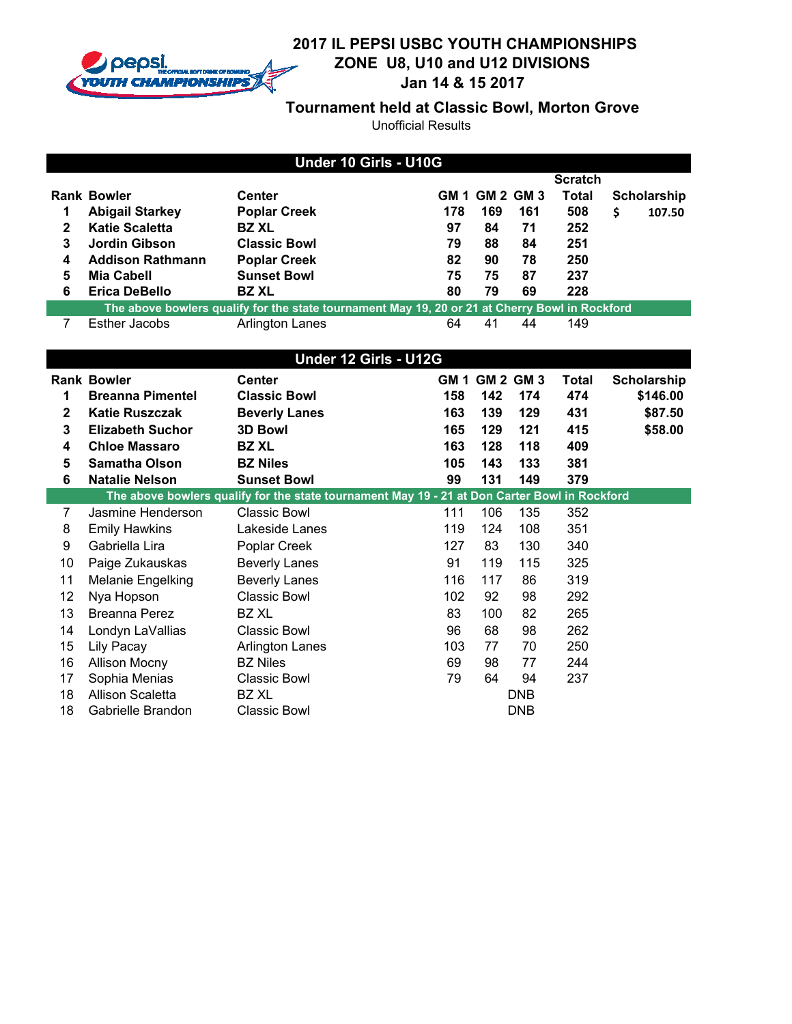

## **2017 IL PEPSI USBC YOUTH CHAMPIONSHIPS ZONE U8, U10 and U12 DIVISIONS**  $\overline{\phantom{a}}$ **Jan 14 & 15 2017**

**Tournament held at Classic Bowl, Morton Grove**

| Under 10 Girls - U10G |                                                                                                |                        |     |                       |     |                |    |             |
|-----------------------|------------------------------------------------------------------------------------------------|------------------------|-----|-----------------------|-----|----------------|----|-------------|
|                       |                                                                                                |                        |     |                       |     | <b>Scratch</b> |    |             |
|                       | <b>Rank Bowler</b>                                                                             | <b>Center</b>          |     | <b>GM 1 GM 2 GM 3</b> |     | Total          |    | Scholarship |
|                       | <b>Abigail Starkey</b>                                                                         | <b>Poplar Creek</b>    | 178 | 169                   | 161 | 508            | \$ | 107.50      |
| 2                     | <b>Katie Scaletta</b>                                                                          | <b>BZ XL</b>           | 97  | 84                    | 71  | 252            |    |             |
| 3                     | Jordin Gibson                                                                                  | <b>Classic Bowl</b>    | 79  | 88                    | 84  | 251            |    |             |
| 4                     | <b>Addison Rathmann</b>                                                                        | <b>Poplar Creek</b>    | 82  | 90                    | 78  | 250            |    |             |
| 5                     | <b>Mia Cabell</b>                                                                              | <b>Sunset Bowl</b>     | 75  | 75                    | 87  | 237            |    |             |
| 6                     | <b>Erica DeBello</b>                                                                           | <b>BZ XL</b>           | 80  | 79                    | 69  | 228            |    |             |
|                       | The above bowlers qualify for the state tournament May 19, 20 or 21 at Cherry Bowl in Rockford |                        |     |                       |     |                |    |             |
|                       | <b>Esther Jacobs</b>                                                                           | <b>Arlington Lanes</b> | 64  | 41                    | 44  | 149            |    |             |

|              | Under 12 Girls - U12G    |                                                                                               |      |     |                  |       |             |  |
|--------------|--------------------------|-----------------------------------------------------------------------------------------------|------|-----|------------------|-------|-------------|--|
|              | <b>Rank Bowler</b>       | <b>Center</b>                                                                                 | GM 1 |     | <b>GM 2 GM 3</b> | Total | Scholarship |  |
| 1            | <b>Breanna Pimentel</b>  | <b>Classic Bowl</b>                                                                           | 158  | 142 | 174              | 474   | \$146.00    |  |
| $\mathbf{2}$ | <b>Katie Ruszczak</b>    | <b>Beverly Lanes</b>                                                                          | 163  | 139 | 129              | 431   | \$87.50     |  |
| 3            | <b>Elizabeth Suchor</b>  | <b>3D Bowl</b>                                                                                | 165  | 129 | 121              | 415   | \$58.00     |  |
| 4            | <b>Chloe Massaro</b>     | <b>BZ XL</b>                                                                                  | 163  | 128 | 118              | 409   |             |  |
| 5            | <b>Samatha Olson</b>     | <b>BZ Niles</b>                                                                               | 105  | 143 | 133              | 381   |             |  |
| 6            | <b>Natalie Nelson</b>    | <b>Sunset Bowl</b>                                                                            | 99   | 131 | 149              | 379   |             |  |
|              |                          | The above bowlers qualify for the state tournament May 19 - 21 at Don Carter Bowl in Rockford |      |     |                  |       |             |  |
| 7            | Jasmine Henderson        | Classic Bowl                                                                                  | 111  | 106 | 135              | 352   |             |  |
| 8            | <b>Emily Hawkins</b>     | Lakeside Lanes                                                                                | 119  | 124 | 108              | 351   |             |  |
| 9            | Gabriella Lira           | Poplar Creek                                                                                  | 127  | 83  | 130              | 340   |             |  |
| 10           | Paige Zukauskas          | <b>Beverly Lanes</b>                                                                          | 91   | 119 | 115              | 325   |             |  |
| 11           | <b>Melanie Engelking</b> | <b>Beverly Lanes</b>                                                                          | 116  | 117 | 86               | 319   |             |  |
| 12           | Nya Hopson               | <b>Classic Bowl</b>                                                                           | 102  | 92  | 98               | 292   |             |  |
| 13           | Breanna Perez            | BZ XL                                                                                         | 83   | 100 | 82               | 265   |             |  |
| 14           | Londyn LaVallias         | <b>Classic Bowl</b>                                                                           | 96   | 68  | 98               | 262   |             |  |
| 15           | Lily Pacay               | <b>Arlington Lanes</b>                                                                        | 103  | 77  | 70               | 250   |             |  |
| 16           | <b>Allison Mocny</b>     | <b>BZ Niles</b>                                                                               | 69   | 98  | 77               | 244   |             |  |
| 17           | Sophia Menias            | Classic Bowl                                                                                  | 79   | 64  | 94               | 237   |             |  |
| 18           | <b>Allison Scaletta</b>  | BZ XL                                                                                         |      |     | DNB              |       |             |  |
| 18           | Gabrielle Brandon        | Classic Bowl                                                                                  |      |     | <b>DNB</b>       |       |             |  |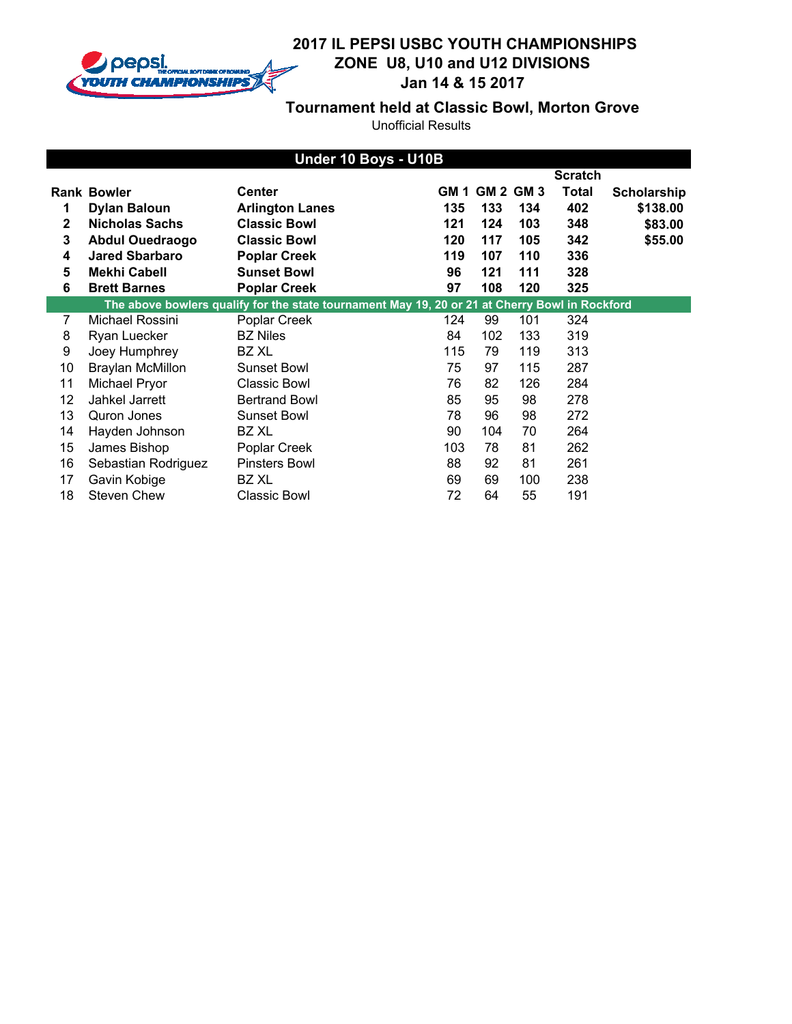

## **2017 IL PEPSI USBC YOUTH CHAMPIONSHIPS ZONE U8, U10 and U12 DIVISIONS** y. **Jan 14 & 15 2017**

**Tournament held at Classic Bowl, Morton Grove**

|    | Under 10 Boys - U10B   |                                                                                                |     |                       |     |                |                    |
|----|------------------------|------------------------------------------------------------------------------------------------|-----|-----------------------|-----|----------------|--------------------|
|    |                        |                                                                                                |     |                       |     | <b>Scratch</b> |                    |
|    | <b>Rank Bowler</b>     | <b>Center</b>                                                                                  |     | <b>GM 1 GM 2 GM 3</b> |     | <b>Total</b>   | <b>Scholarship</b> |
| 1  | <b>Dylan Baloun</b>    | <b>Arlington Lanes</b>                                                                         | 135 | 133                   | 134 | 402            | \$138.00           |
| 2  | <b>Nicholas Sachs</b>  | <b>Classic Bowl</b>                                                                            | 121 | 124                   | 103 | 348            | \$83.00            |
| 3  | <b>Abdul Ouedraogo</b> | <b>Classic Bowl</b>                                                                            | 120 | 117                   | 105 | 342            | \$55.00            |
| 4  | <b>Jared Sbarbaro</b>  | <b>Poplar Creek</b>                                                                            | 119 | 107                   | 110 | 336            |                    |
| 5  | <b>Mekhi Cabell</b>    | <b>Sunset Bowl</b>                                                                             | 96  | 121                   | 111 | 328            |                    |
| 6  | <b>Brett Barnes</b>    | <b>Poplar Creek</b>                                                                            | 97  | 108                   | 120 | 325            |                    |
|    |                        | The above bowlers qualify for the state tournament May 19, 20 or 21 at Cherry Bowl in Rockford |     |                       |     |                |                    |
| 7  | Michael Rossini        | Poplar Creek                                                                                   | 124 | 99                    | 101 | 324            |                    |
| 8  | Ryan Luecker           | <b>BZ Niles</b>                                                                                | 84  | 102                   | 133 | 319            |                    |
| 9  | Joey Humphrey          | BZ XL                                                                                          | 115 | 79                    | 119 | 313            |                    |
| 10 | Braylan McMillon       | <b>Sunset Bowl</b>                                                                             | 75  | 97                    | 115 | 287            |                    |
| 11 | Michael Pryor          | Classic Bowl                                                                                   | 76  | 82                    | 126 | 284            |                    |
| 12 | Jahkel Jarrett         | <b>Bertrand Bowl</b>                                                                           | 85  | 95                    | 98  | 278            |                    |
| 13 | Quron Jones            | Sunset Bowl                                                                                    | 78  | 96                    | 98  | 272            |                    |
| 14 | Hayden Johnson         | BZ XL                                                                                          | 90  | 104                   | 70  | 264            |                    |
| 15 | James Bishop           | Poplar Creek                                                                                   | 103 | 78                    | 81  | 262            |                    |
| 16 | Sebastian Rodriguez    | <b>Pinsters Bowl</b>                                                                           | 88  | 92                    | 81  | 261            |                    |
| 17 | Gavin Kobige           | BZ XL                                                                                          | 69  | 69                    | 100 | 238            |                    |
| 18 | <b>Steven Chew</b>     | Classic Bowl                                                                                   | 72  | 64                    | 55  | 191            |                    |